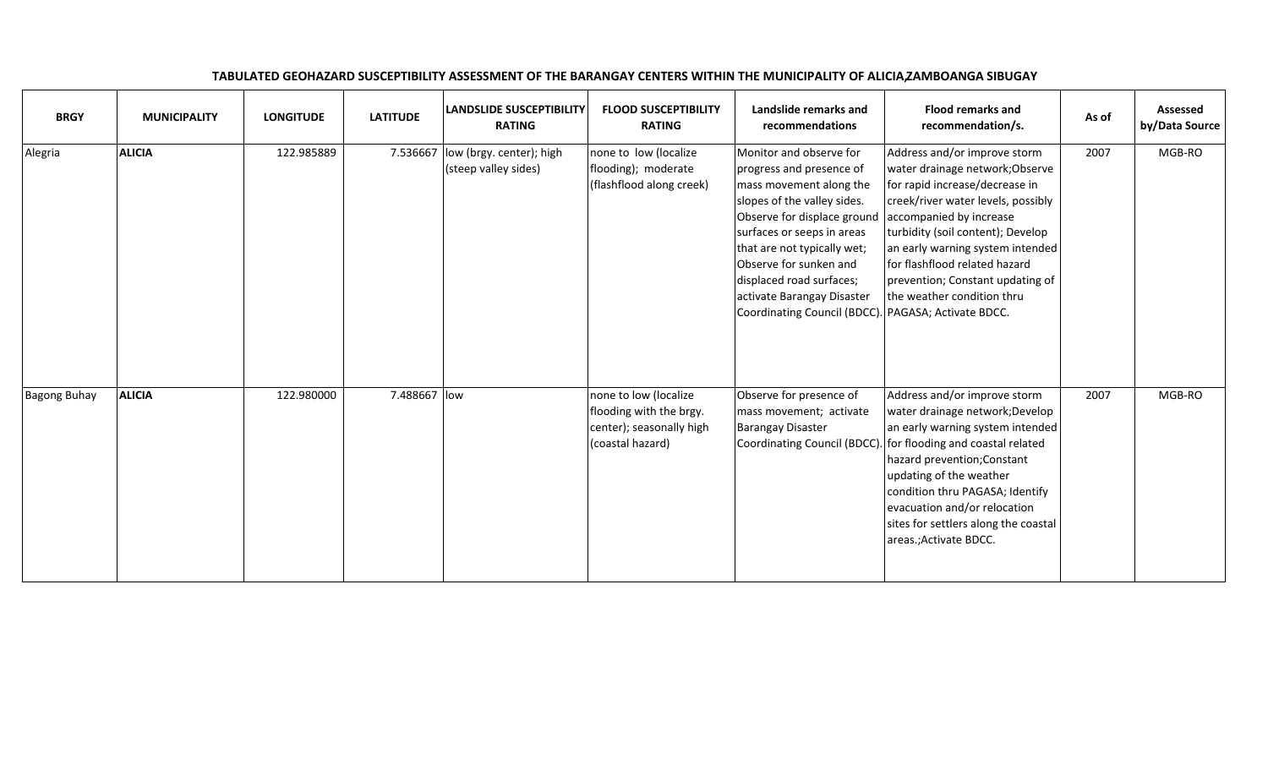| <b>BRGY</b>         | <b>MUNICIPALITY</b> | <b>LONGITUDE</b> | <b>LATITUDE</b> | <b>LANDSLIDE SUSCEPTIBILITY</b><br><b>RATING</b> | <b>FLOOD SUSCEPTIBILITY</b><br><b>RATING</b>                                                     | Landslide remarks and<br>recommendations                                                                                                                                                                                                                                                                                                             | <b>Flood remarks and</b><br>recommendation/s.                                                                                                                                                                                                                                                                                                  | As of | <b>Assessed</b><br>by/Data Source |
|---------------------|---------------------|------------------|-----------------|--------------------------------------------------|--------------------------------------------------------------------------------------------------|------------------------------------------------------------------------------------------------------------------------------------------------------------------------------------------------------------------------------------------------------------------------------------------------------------------------------------------------------|------------------------------------------------------------------------------------------------------------------------------------------------------------------------------------------------------------------------------------------------------------------------------------------------------------------------------------------------|-------|-----------------------------------|
| Alegria             | <b>ALICIA</b>       | 122.985889       | 7.536667        | low (brgy. center); high<br>(steep valley sides) | none to low (localize<br>flooding); moderate<br>(flashflood along creek)                         | Monitor and observe for<br>progress and presence of<br>mass movement along the<br>slopes of the valley sides.<br>Observe for displace ground<br>surfaces or seeps in areas<br>that are not typically wet;<br>Observe for sunken and<br>displaced road surfaces;<br>activate Barangay Disaster<br>Coordinating Council (BDCC). PAGASA; Activate BDCC. | Address and/or improve storm<br>water drainage network; Observe<br>for rapid increase/decrease in<br>creek/river water levels, possibly<br>accompanied by increase<br>turbidity (soil content); Develop<br>an early warning system intended<br>for flashflood related hazard<br>prevention; Constant updating of<br>the weather condition thru | 2007  | MGB-RO                            |
| <b>Bagong Buhay</b> | <b>ALICIA</b>       | 122.980000       | 7.488667 low    |                                                  | none to low (localize<br>flooding with the brgy.<br>center); seasonally high<br>(coastal hazard) | Observe for presence of<br>mass movement; activate<br><b>Barangay Disaster</b><br>Coordinating Council (BDCC).                                                                                                                                                                                                                                       | Address and/or improve storm<br>water drainage network; Develop<br>an early warning system intended<br>for flooding and coastal related<br>hazard prevention; Constant<br>updating of the weather<br>condition thru PAGASA; Identify<br>evacuation and/or relocation<br>sites for settlers along the coastal<br>areas.; Activate BDCC.         | 2007  | MGB-RO                            |

## TABULATED GEOHAZARD SUSCEPTIBILITY ASSESSMENT OF THE BARANGAY CENTERS WITHIN THE MUNICIPALITY OF ALICIAZAMBOANGA SIBUGAY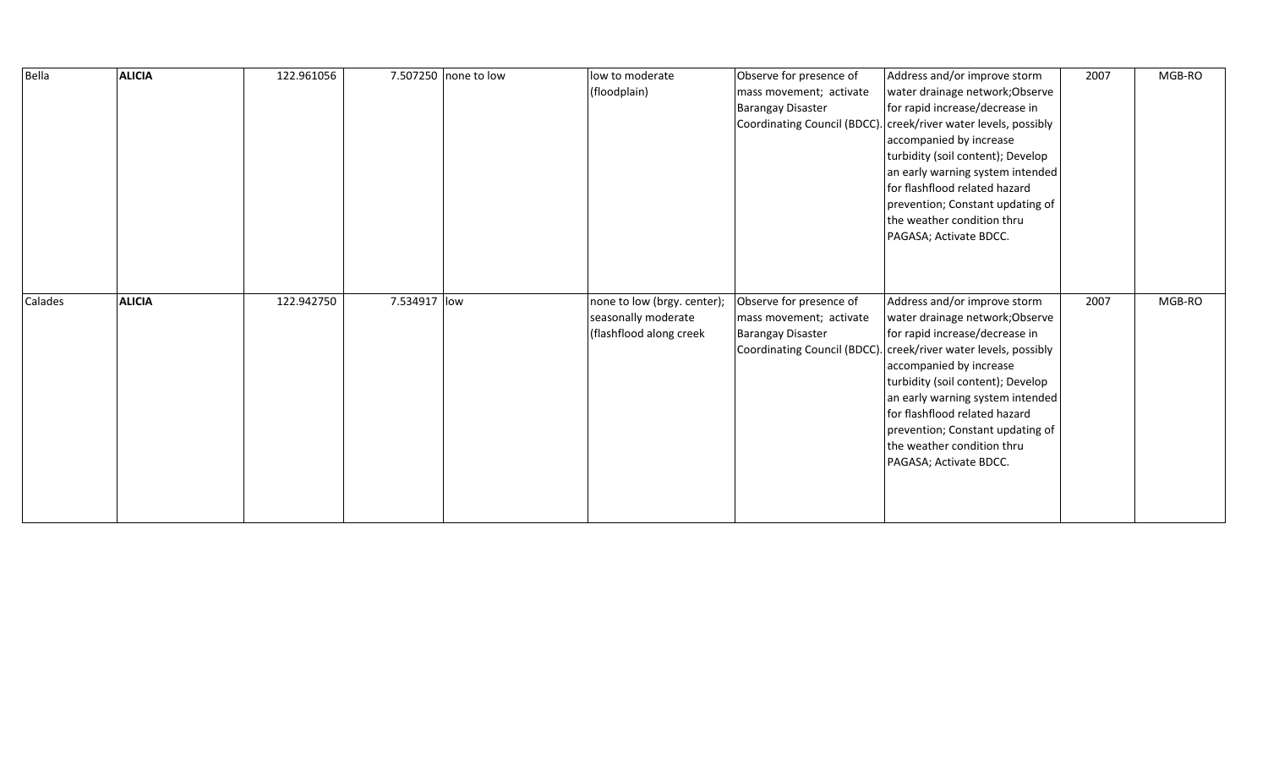| Bella   | <b>ALICIA</b> | 122.961056 | 7.507250 none to low | low to moderate<br>(floodplain)                                               | Observe for presence of<br>mass movement; activate<br><b>Barangay Disaster</b><br>Coordinating Council (BDCC). | Address and/or improve storm<br>water drainage network; Observe<br>for rapid increase/decrease in<br>creek/river water levels, possibly<br>accompanied by increase<br>turbidity (soil content); Develop<br>an early warning system intended<br>for flashflood related hazard<br>prevention; Constant updating of<br>the weather condition thru<br>PAGASA; Activate BDCC.                              | 2007 | MGB-RO |
|---------|---------------|------------|----------------------|-------------------------------------------------------------------------------|----------------------------------------------------------------------------------------------------------------|-------------------------------------------------------------------------------------------------------------------------------------------------------------------------------------------------------------------------------------------------------------------------------------------------------------------------------------------------------------------------------------------------------|------|--------|
| Calades | <b>ALICIA</b> | 122.942750 | 7.534917 low         | none to low (brgy. center);<br>seasonally moderate<br>(flashflood along creek | Observe for presence of<br>mass movement; activate<br><b>Barangay Disaster</b>                                 | Address and/or improve storm<br>water drainage network; Observe<br>for rapid increase/decrease in<br>Coordinating Council (BDCC). creek/river water levels, possibly<br>accompanied by increase<br>turbidity (soil content); Develop<br>an early warning system intended<br>for flashflood related hazard<br>prevention; Constant updating of<br>the weather condition thru<br>PAGASA; Activate BDCC. | 2007 | MGB-RO |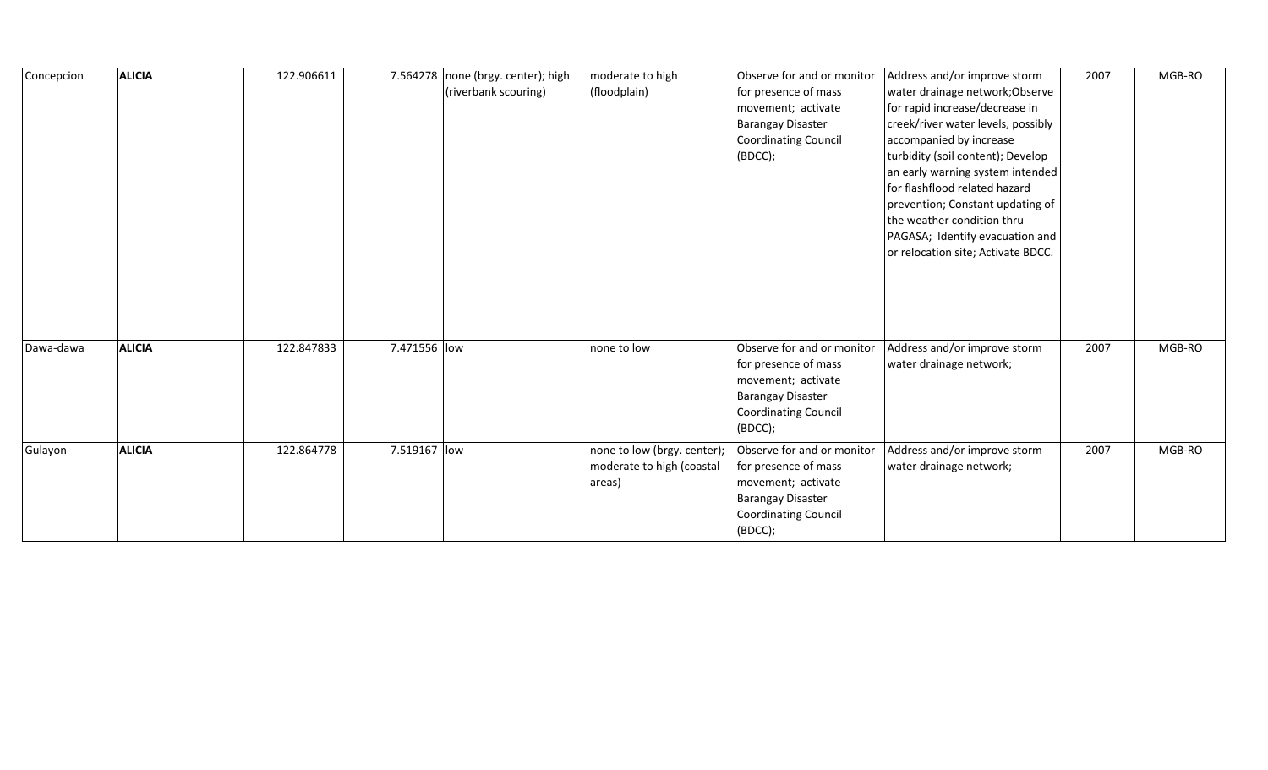| Concepcion | <b>ALICIA</b> | 122.906611 |              | 7.564278   none (brgy. center); high<br>(riverbank scouring) | moderate to high<br>(floodplain)                                   | Observe for and or monitor<br>for presence of mass<br>movement; activate<br><b>Barangay Disaster</b><br><b>Coordinating Council</b><br>(BOCC); | Address and/or improve storm<br>water drainage network; Observe<br>for rapid increase/decrease in<br>creek/river water levels, possibly<br>accompanied by increase<br>turbidity (soil content); Develop<br>an early warning system intended<br>for flashflood related hazard<br>prevention; Constant updating of<br>the weather condition thru<br>PAGASA; Identify evacuation and<br>or relocation site; Activate BDCC. | 2007 | MGB-RO |
|------------|---------------|------------|--------------|--------------------------------------------------------------|--------------------------------------------------------------------|------------------------------------------------------------------------------------------------------------------------------------------------|-------------------------------------------------------------------------------------------------------------------------------------------------------------------------------------------------------------------------------------------------------------------------------------------------------------------------------------------------------------------------------------------------------------------------|------|--------|
| Dawa-dawa  | <b>ALICIA</b> | 122.847833 | 7.471556 low |                                                              | none to low                                                        | Observe for and or monitor<br>for presence of mass<br>movement; activate<br><b>Barangay Disaster</b><br><b>Coordinating Council</b><br>(BDCC); | Address and/or improve storm<br>water drainage network;                                                                                                                                                                                                                                                                                                                                                                 | 2007 | MGB-RO |
| Gulayon    | <b>ALICIA</b> | 122.864778 | 7.519167 low |                                                              | none to low (brgy. center);<br>moderate to high (coastal<br>areas) | Observe for and or monitor<br>for presence of mass<br>movement; activate<br><b>Barangay Disaster</b><br><b>Coordinating Council</b><br>(BOCC); | Address and/or improve storm<br>water drainage network;                                                                                                                                                                                                                                                                                                                                                                 | 2007 | MGB-RO |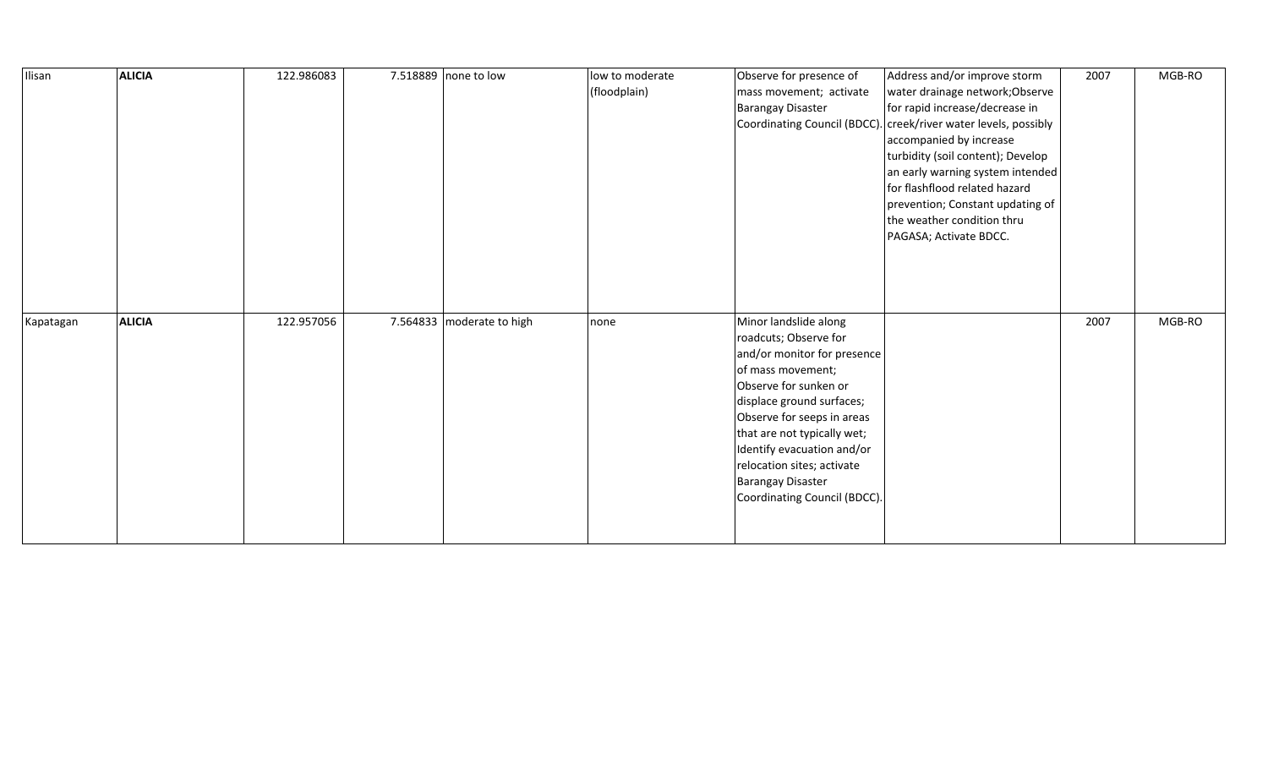| Ilisan    | <b>ALICIA</b> | 122.986083 | 7.518889 none to low      | low to moderate<br>(floodplain) | Observe for presence of<br>mass movement; activate<br><b>Barangay Disaster</b>                                                                                                                                                                                                                                                                | Address and/or improve storm<br>water drainage network; Observe<br>for rapid increase/decrease in<br>Coordinating Council (BDCC). creek/river water levels, possibly<br>accompanied by increase<br>turbidity (soil content); Develop<br>an early warning system intended<br>for flashflood related hazard<br>prevention; Constant updating of<br>the weather condition thru<br>PAGASA; Activate BDCC. | 2007 | MGB-RO |
|-----------|---------------|------------|---------------------------|---------------------------------|-----------------------------------------------------------------------------------------------------------------------------------------------------------------------------------------------------------------------------------------------------------------------------------------------------------------------------------------------|-------------------------------------------------------------------------------------------------------------------------------------------------------------------------------------------------------------------------------------------------------------------------------------------------------------------------------------------------------------------------------------------------------|------|--------|
| Kapatagan | <b>ALICIA</b> | 122.957056 | 7.564833 moderate to high | none                            | Minor landslide along<br>roadcuts; Observe for<br>and/or monitor for presence<br>of mass movement;<br>Observe for sunken or<br>displace ground surfaces;<br>Observe for seeps in areas<br>that are not typically wet;<br>Identify evacuation and/or<br>relocation sites; activate<br><b>Barangay Disaster</b><br>Coordinating Council (BDCC). |                                                                                                                                                                                                                                                                                                                                                                                                       | 2007 | MGB-RO |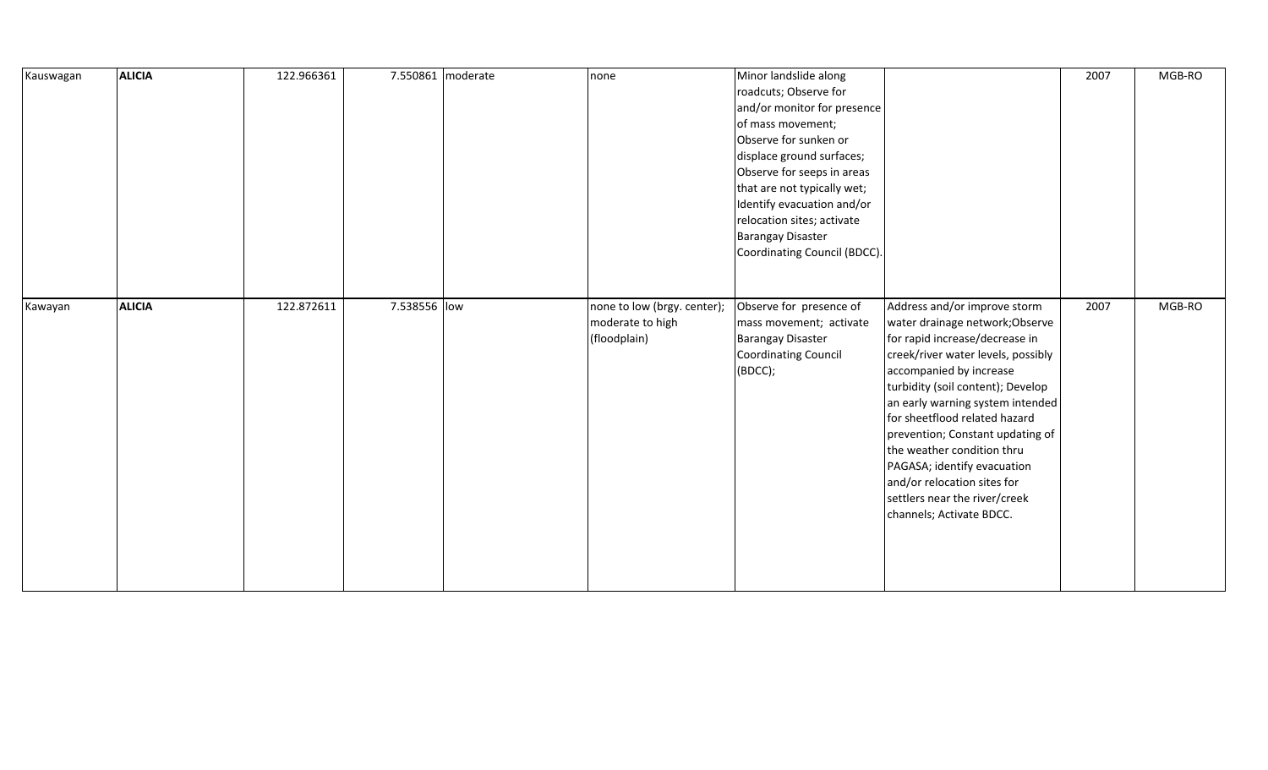| Kauswagan | <b>ALICIA</b> | 122.966361 | 7.550861 moderate | none                                                            | Minor landslide along<br>roadcuts; Observe for<br>and/or monitor for presence<br>of mass movement;<br>Observe for sunken or<br>displace ground surfaces;<br>Observe for seeps in areas<br>that are not typically wet;<br>Identify evacuation and/or<br>relocation sites; activate<br><b>Barangay Disaster</b><br>Coordinating Council (BDCC). |                                                                                                                                                                                                                                                                                                                                                                                                                                                                           | 2007 | MGB-RO |
|-----------|---------------|------------|-------------------|-----------------------------------------------------------------|-----------------------------------------------------------------------------------------------------------------------------------------------------------------------------------------------------------------------------------------------------------------------------------------------------------------------------------------------|---------------------------------------------------------------------------------------------------------------------------------------------------------------------------------------------------------------------------------------------------------------------------------------------------------------------------------------------------------------------------------------------------------------------------------------------------------------------------|------|--------|
| Kawayan   | <b>ALICIA</b> | 122.872611 | 7.538556 low      | none to low (brgy. center);<br>moderate to high<br>(floodplain) | Observe for presence of<br>mass movement; activate<br><b>Barangay Disaster</b><br><b>Coordinating Council</b><br>(BOCC);                                                                                                                                                                                                                      | Address and/or improve storm<br>water drainage network; Observe<br>for rapid increase/decrease in<br>creek/river water levels, possibly<br>accompanied by increase<br>turbidity (soil content); Develop<br>an early warning system intended<br>for sheetflood related hazard<br>prevention; Constant updating of<br>the weather condition thru<br>PAGASA; identify evacuation<br>and/or relocation sites for<br>settlers near the river/creek<br>channels; Activate BDCC. | 2007 | MGB-RO |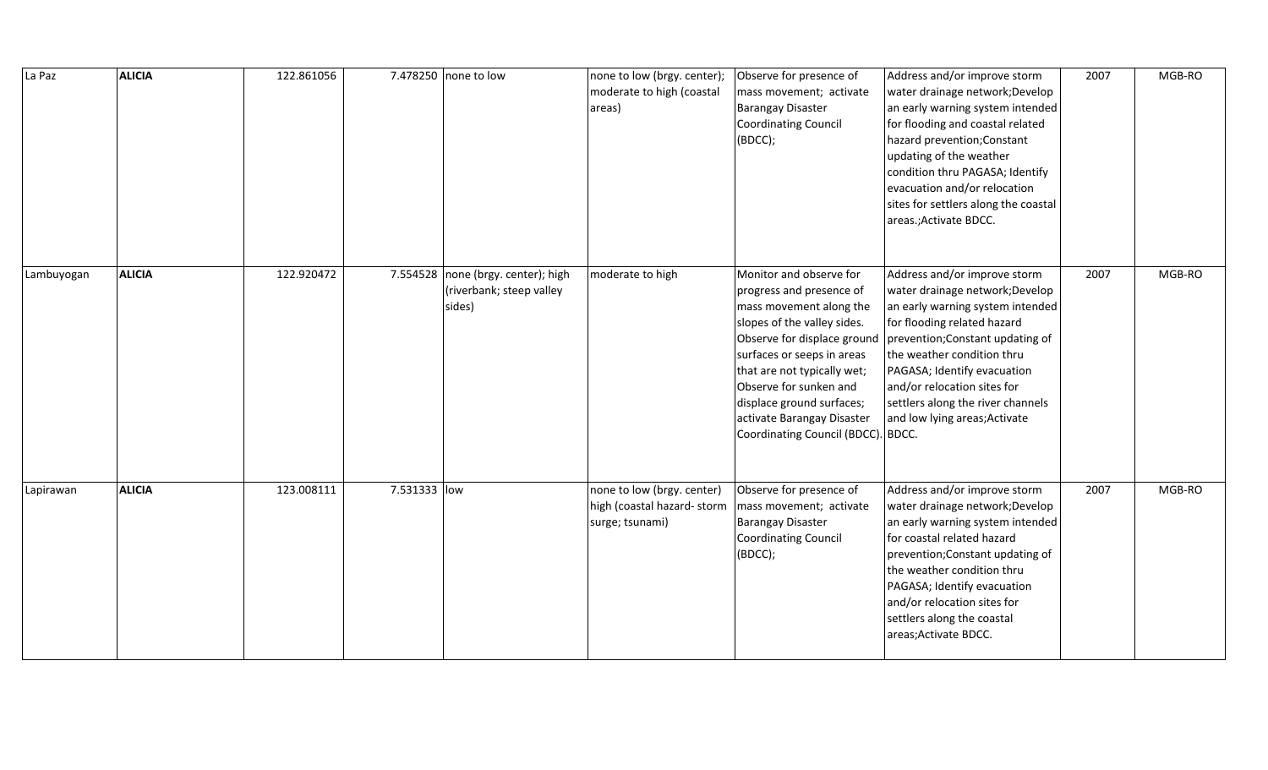| La Paz     | <b>ALICIA</b> | 122.861056 |              | 7.478250 none to low                                                     | none to low (brgy. center);<br>moderate to high (coastal<br>areas)          | Observe for presence of<br>mass movement; activate<br><b>Barangay Disaster</b><br><b>Coordinating Council</b><br>(BDCC);                                                                                                                                                                                                             | Address and/or improve storm<br>water drainage network; Develop<br>an early warning system intended<br>for flooding and coastal related<br>hazard prevention; Constant<br>updating of the weather<br>condition thru PAGASA; Identify<br>evacuation and/or relocation<br>sites for settlers along the coastal<br>areas.; Activate BDCC.   | 2007 | MGB-RO |
|------------|---------------|------------|--------------|--------------------------------------------------------------------------|-----------------------------------------------------------------------------|--------------------------------------------------------------------------------------------------------------------------------------------------------------------------------------------------------------------------------------------------------------------------------------------------------------------------------------|------------------------------------------------------------------------------------------------------------------------------------------------------------------------------------------------------------------------------------------------------------------------------------------------------------------------------------------|------|--------|
| Lambuyogan | <b>ALICIA</b> | 122.920472 |              | 7.554528 none (brgy. center); high<br>(riverbank; steep valley<br>sides) | moderate to high                                                            | Monitor and observe for<br>progress and presence of<br>mass movement along the<br>slopes of the valley sides.<br>Observe for displace ground<br>surfaces or seeps in areas<br>that are not typically wet;<br>Observe for sunken and<br>displace ground surfaces;<br>activate Barangay Disaster<br>Coordinating Council (BDCC). BDCC. | Address and/or improve storm<br>water drainage network; Develop<br>an early warning system intended<br>for flooding related hazard<br>prevention; Constant updating of<br>the weather condition thru<br>PAGASA; Identify evacuation<br>and/or relocation sites for<br>settlers along the river channels<br>and low lying areas; Activate | 2007 | MGB-RO |
| Lapirawan  | <b>ALICIA</b> | 123.008111 | 7.531333 low |                                                                          | none to low (brgy. center)<br>high (coastal hazard-storm<br>surge; tsunami) | Observe for presence of<br>mass movement; activate<br><b>Barangay Disaster</b><br>Coordinating Council<br>(BDCC);                                                                                                                                                                                                                    | Address and/or improve storm<br>water drainage network; Develop<br>an early warning system intended<br>for coastal related hazard<br>prevention; Constant updating of<br>the weather condition thru<br>PAGASA; Identify evacuation<br>and/or relocation sites for<br>settlers along the coastal<br>areas; Activate BDCC.                 | 2007 | MGB-RO |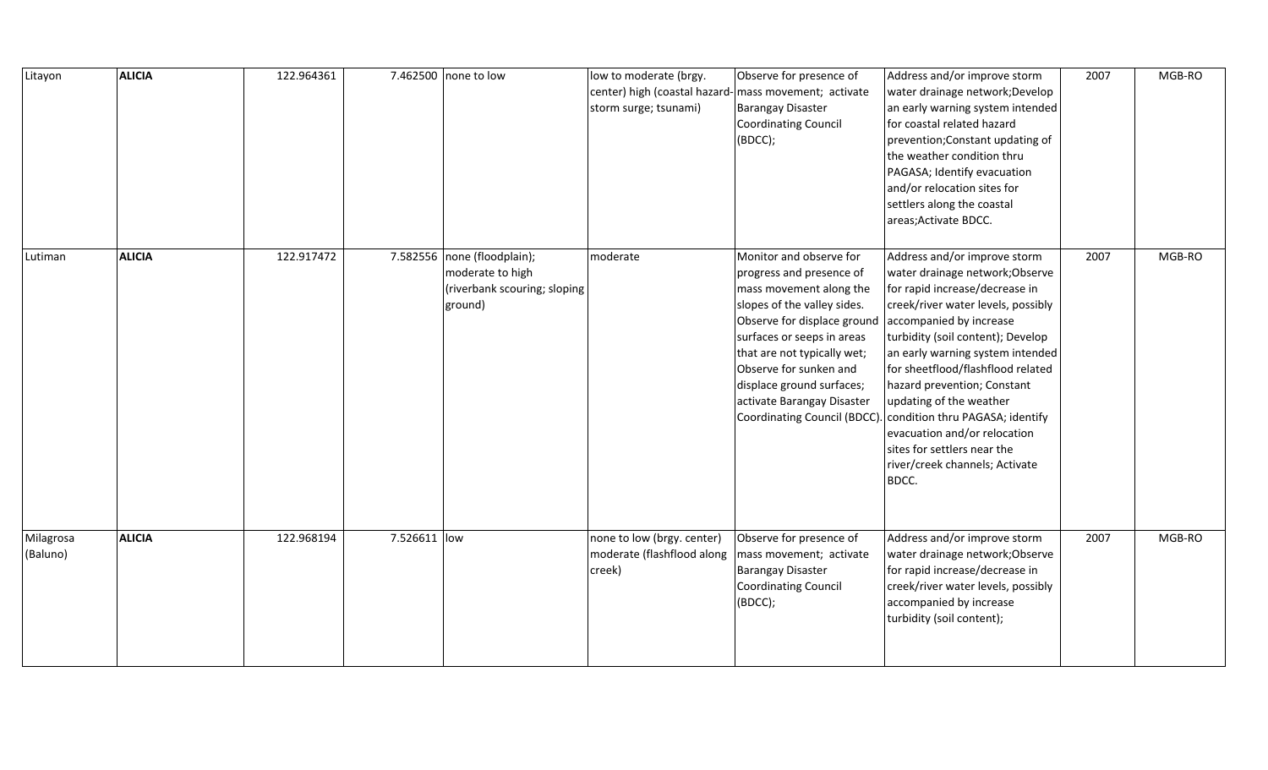| Litayon               | <b>ALICIA</b> | 122.964361 |              | 7.462500 none to low                                                                       | low to moderate (brgy.<br>center) high (coastal hazard-<br>storm surge; tsunami) | Observe for presence of<br>mass movement; activate<br><b>Barangay Disaster</b><br><b>Coordinating Council</b><br>(BDCC);                                                                                                                                                                                                       | Address and/or improve storm<br>water drainage network; Develop<br>an early warning system intended<br>for coastal related hazard<br>prevention; Constant updating of<br>the weather condition thru<br>PAGASA; Identify evacuation<br>and/or relocation sites for<br>settlers along the coastal<br>areas; Activate BDCC.                                                                                                                                                                | 2007 | MGB-RO |
|-----------------------|---------------|------------|--------------|--------------------------------------------------------------------------------------------|----------------------------------------------------------------------------------|--------------------------------------------------------------------------------------------------------------------------------------------------------------------------------------------------------------------------------------------------------------------------------------------------------------------------------|-----------------------------------------------------------------------------------------------------------------------------------------------------------------------------------------------------------------------------------------------------------------------------------------------------------------------------------------------------------------------------------------------------------------------------------------------------------------------------------------|------|--------|
| Lutiman               | <b>ALICIA</b> | 122.917472 |              | 7.582556 none (floodplain);<br>moderate to high<br>(riverbank scouring; sloping<br>ground) | moderate                                                                         | Monitor and observe for<br>progress and presence of<br>mass movement along the<br>slopes of the valley sides.<br>Observe for displace ground<br>surfaces or seeps in areas<br>that are not typically wet;<br>Observe for sunken and<br>displace ground surfaces;<br>activate Barangay Disaster<br>Coordinating Council (BDCC). | Address and/or improve storm<br>water drainage network; Observe<br>for rapid increase/decrease in<br>creek/river water levels, possibly<br>accompanied by increase<br>turbidity (soil content); Develop<br>an early warning system intended<br>for sheetflood/flashflood related<br>hazard prevention; Constant<br>updating of the weather<br>condition thru PAGASA; identify<br>evacuation and/or relocation<br>sites for settlers near the<br>river/creek channels; Activate<br>BDCC. | 2007 | MGB-RO |
| Milagrosa<br>(Baluno) | <b>ALICIA</b> | 122.968194 | 7.526611 low |                                                                                            | none to low (brgy. center)<br>moderate (flashflood along<br>creek)               | Observe for presence of<br>mass movement; activate<br><b>Barangay Disaster</b><br><b>Coordinating Council</b><br>(BDCC);                                                                                                                                                                                                       | Address and/or improve storm<br>water drainage network; Observe<br>for rapid increase/decrease in<br>creek/river water levels, possibly<br>accompanied by increase<br>turbidity (soil content);                                                                                                                                                                                                                                                                                         | 2007 | MGB-RO |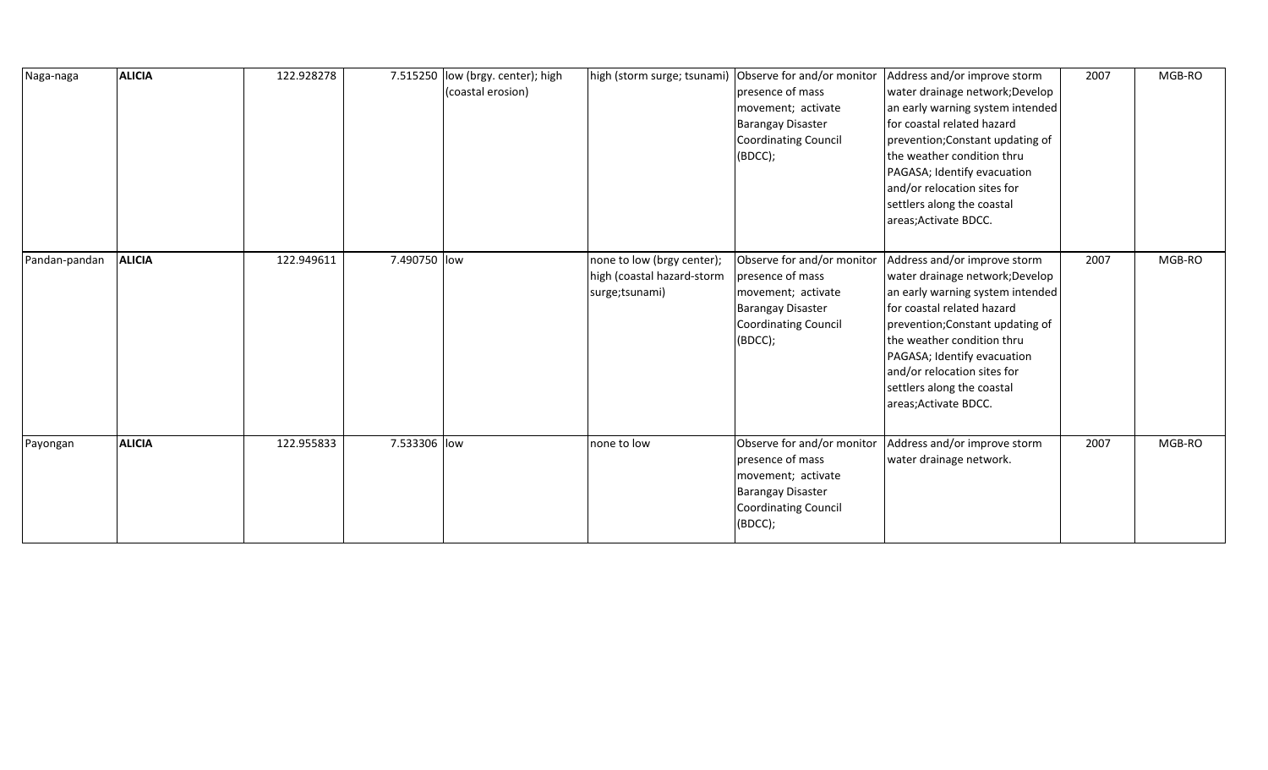| Naga-naga     | <b>ALICIA</b> | 122.928278 |              | 7.515250 low (brgy. center); high<br>(coastal erosion) |                                                                            | high (storm surge; tsunami) Observe for and/or monitor<br>presence of mass<br>movement; activate<br><b>Barangay Disaster</b><br><b>Coordinating Council</b><br>(BDCC); | Address and/or improve storm<br>water drainage network; Develop<br>an early warning system intended<br>for coastal related hazard<br>prevention; Constant updating of<br>the weather condition thru<br>PAGASA; Identify evacuation<br>and/or relocation sites for<br>settlers along the coastal<br>areas; Activate BDCC. | 2007 | MGB-RO |
|---------------|---------------|------------|--------------|--------------------------------------------------------|----------------------------------------------------------------------------|------------------------------------------------------------------------------------------------------------------------------------------------------------------------|--------------------------------------------------------------------------------------------------------------------------------------------------------------------------------------------------------------------------------------------------------------------------------------------------------------------------|------|--------|
| Pandan-pandan | <b>ALICIA</b> | 122.949611 | 7.490750 low |                                                        | none to low (brgy center);<br>high (coastal hazard-storm<br>surge;tsunami) | Observe for and/or monitor<br>presence of mass<br>movement; activate<br><b>Barangay Disaster</b><br><b>Coordinating Council</b><br>(BDCC);                             | Address and/or improve storm<br>water drainage network; Develop<br>an early warning system intended<br>for coastal related hazard<br>prevention; Constant updating of<br>the weather condition thru<br>PAGASA; Identify evacuation<br>and/or relocation sites for<br>settlers along the coastal<br>areas; Activate BDCC. | 2007 | MGB-RO |
| Payongan      | <b>ALICIA</b> | 122.955833 | 7.533306 low |                                                        | none to low                                                                | Observe for and/or monitor<br>presence of mass<br>movement; activate<br><b>Barangay Disaster</b><br>Coordinating Council<br>(BDCC);                                    | Address and/or improve storm<br>water drainage network.                                                                                                                                                                                                                                                                  | 2007 | MGB-RO |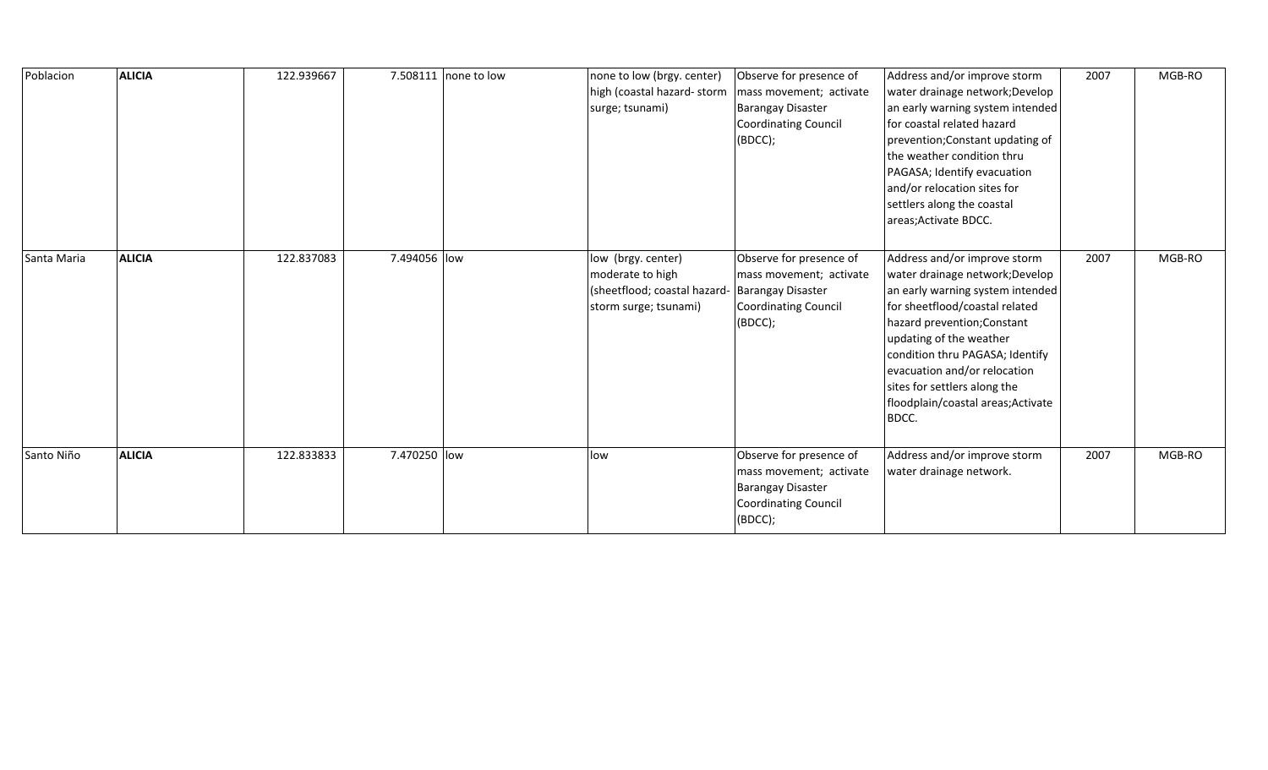| Poblacion   | <b>ALICIA</b> | 122.939667 |              | 7.508111 none to low | none to low (brgy. center)<br>high (coastal hazard-storm<br>surge; tsunami)                     | Observe for presence of<br>mass movement; activate<br><b>Barangay Disaster</b><br><b>Coordinating Council</b><br>(BDCC); | Address and/or improve storm<br>water drainage network; Develop<br>an early warning system intended<br>for coastal related hazard<br>prevention; Constant updating of<br>the weather condition thru<br>PAGASA; Identify evacuation<br>and/or relocation sites for<br>settlers along the coastal<br>areas; Activate BDCC.                          | 2007 | MGB-RO |
|-------------|---------------|------------|--------------|----------------------|-------------------------------------------------------------------------------------------------|--------------------------------------------------------------------------------------------------------------------------|---------------------------------------------------------------------------------------------------------------------------------------------------------------------------------------------------------------------------------------------------------------------------------------------------------------------------------------------------|------|--------|
| Santa Maria | <b>ALICIA</b> | 122.837083 | 7.494056 low |                      | low (brgy. center)<br>moderate to high<br>(sheetflood; coastal hazard-<br>storm surge; tsunami) | Observe for presence of<br>mass movement; activate<br><b>Barangay Disaster</b><br>Coordinating Council<br>(BDCC);        | Address and/or improve storm<br>water drainage network; Develop<br>an early warning system intended<br>for sheetflood/coastal related<br>hazard prevention; Constant<br>updating of the weather<br>condition thru PAGASA; Identify<br>evacuation and/or relocation<br>sites for settlers along the<br>floodplain/coastal areas; Activate<br>BDCC. | 2007 | MGB-RO |
| Santo Niño  | <b>ALICIA</b> | 122.833833 | 7.470250 low |                      | low                                                                                             | Observe for presence of<br>mass movement; activate<br><b>Barangay Disaster</b><br><b>Coordinating Council</b><br>(BDCC); | Address and/or improve storm<br>water drainage network.                                                                                                                                                                                                                                                                                           | 2007 | MGB-RO |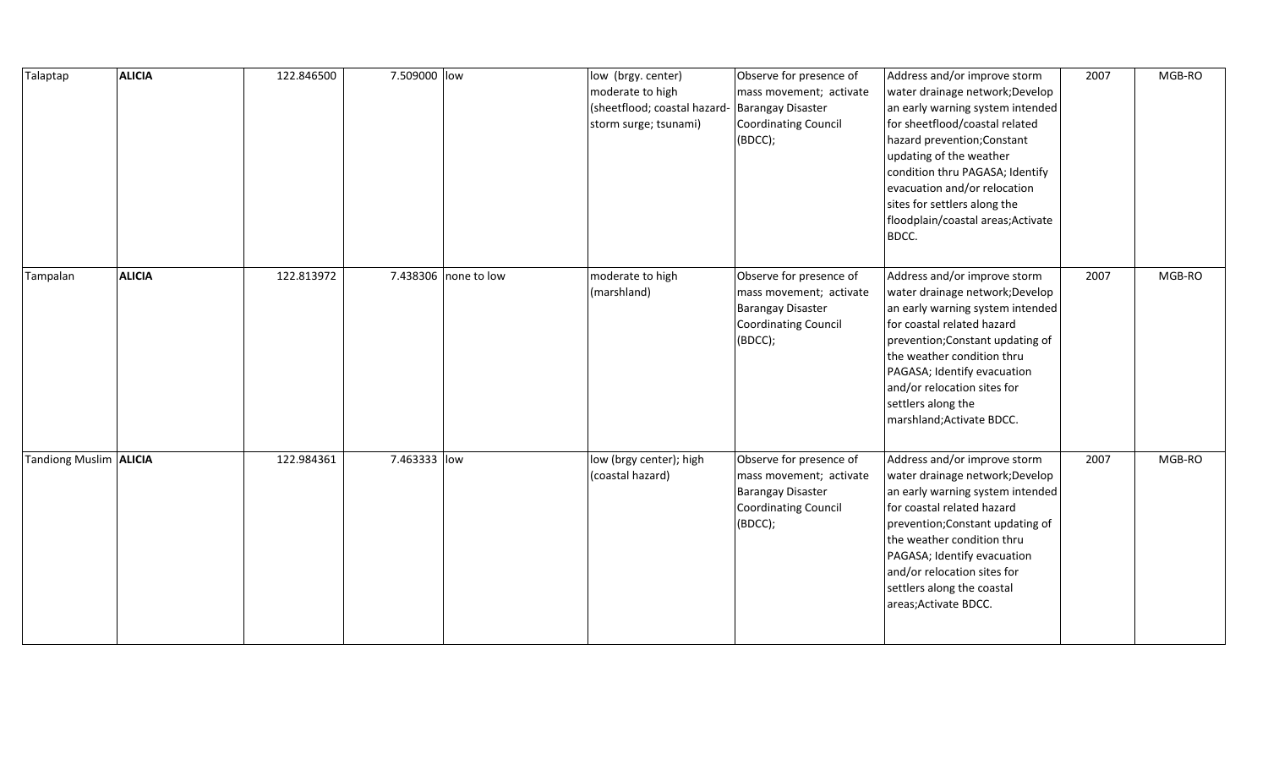| Talaptap                 | <b>ALICIA</b> | 122.846500 | 7.509000 low |                      | low (brgy. center)<br>moderate to high<br>(sheetflood; coastal hazard-<br>storm surge; tsunami) | Observe for presence of<br>mass movement; activate<br><b>Barangay Disaster</b><br><b>Coordinating Council</b><br>(BDCC); | Address and/or improve storm<br>water drainage network; Develop<br>an early warning system intended<br>for sheetflood/coastal related<br>hazard prevention; Constant<br>updating of the weather<br>condition thru PAGASA; Identify<br>evacuation and/or relocation<br>sites for settlers along the<br>floodplain/coastal areas; Activate<br>BDCC. | 2007 | MGB-RO |
|--------------------------|---------------|------------|--------------|----------------------|-------------------------------------------------------------------------------------------------|--------------------------------------------------------------------------------------------------------------------------|---------------------------------------------------------------------------------------------------------------------------------------------------------------------------------------------------------------------------------------------------------------------------------------------------------------------------------------------------|------|--------|
| Tampalan                 | <b>ALICIA</b> | 122.813972 |              | 7.438306 none to low | moderate to high<br>(marshland)                                                                 | Observe for presence of<br>mass movement; activate<br><b>Barangay Disaster</b><br><b>Coordinating Council</b><br>(BDCC); | Address and/or improve storm<br>water drainage network; Develop<br>an early warning system intended<br>for coastal related hazard<br>prevention; Constant updating of<br>the weather condition thru<br>PAGASA; Identify evacuation<br>and/or relocation sites for<br>settlers along the<br>marshland; Activate BDCC.                              | 2007 | MGB-RO |
| Tandiong Muslim   ALICIA |               | 122.984361 | 7.463333 low |                      | low (brgy center); high<br>(coastal hazard)                                                     | Observe for presence of<br>mass movement; activate<br><b>Barangay Disaster</b><br><b>Coordinating Council</b><br>(BDCC); | Address and/or improve storm<br>water drainage network; Develop<br>an early warning system intended<br>for coastal related hazard<br>prevention; Constant updating of<br>the weather condition thru<br>PAGASA; Identify evacuation<br>and/or relocation sites for<br>settlers along the coastal<br>areas; Activate BDCC.                          | 2007 | MGB-RO |